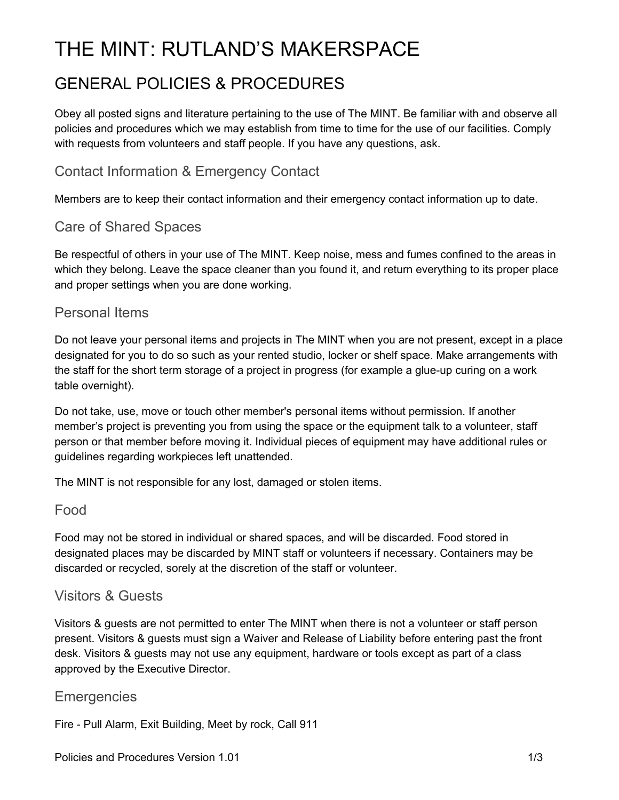# THE MINT: RUTLAND'S MAKERSPACE

# GENERAL POLICIES & PROCEDURES

Obey all posted signs and literature pertaining to the use of The MINT. Be familiar with and observe all policies and procedures which we may establish from time to time for the use of our facilities. Comply with requests from volunteers and staff people. If you have any questions, ask.

### Contact Information & Emergency Contact

Members are to keep their contact information and their emergency contact information up to date.

#### Care of Shared Spaces

Be respectful of others in your use of The MINT. Keep noise, mess and fumes confined to the areas in which they belong. Leave the space cleaner than you found it, and return everything to its proper place and proper settings when you are done working.

#### Personal Items

Do not leave your personal items and projects in The MINT when you are not present, except in a place designated for you to do so such as your rented studio, locker or shelf space. Make arrangements with the staff for the short term storage of a project in progress (for example a glue-up curing on a work table overnight).

Do not take, use, move or touch other member's personal items without permission. If another member's project is preventing you from using the space or the equipment talk to a volunteer, staff person or that member before moving it. Individual pieces of equipment may have additional rules or guidelines regarding workpieces left unattended.

The MINT is not responsible for any lost, damaged or stolen items.

#### Food

Food may not be stored in individual or shared spaces, and will be discarded. Food stored in designated places may be discarded by MINT staff or volunteers if necessary. Containers may be discarded or recycled, sorely at the discretion of the staff or volunteer.

#### Visitors & Guests

Visitors & guests are not permitted to enter The MINT when there is not a volunteer or staff person present. Visitors & guests must sign a Waiver and Release of Liability before entering past the front desk. Visitors & guests may not use any equipment, hardware or tools except as part of a class approved by the Executive Director.

#### **Emergencies**

Fire - Pull Alarm, Exit Building, Meet by rock, Call 911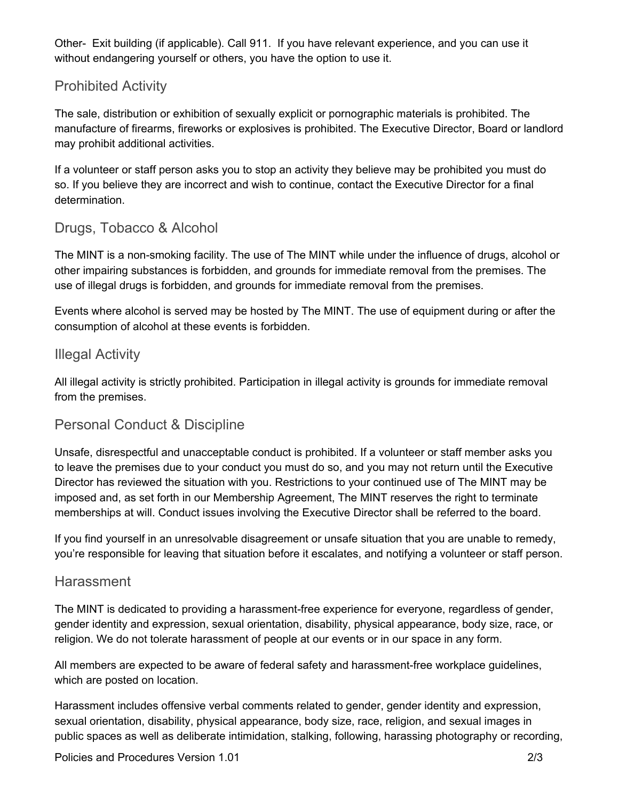Other- Exit building (if applicable). Call 911. If you have relevant experience, and you can use it without endangering yourself or others, you have the option to use it.

#### Prohibited Activity

The sale, distribution or exhibition of sexually explicit or pornographic materials is prohibited. The manufacture of firearms, fireworks or explosives is prohibited. The Executive Director, Board or landlord may prohibit additional activities.

If a volunteer or staff person asks you to stop an activity they believe may be prohibited you must do so. If you believe they are incorrect and wish to continue, contact the Executive Director for a final determination.

#### Drugs, Tobacco & Alcohol

The MINT is a non-smoking facility. The use of The MINT while under the influence of drugs, alcohol or other impairing substances is forbidden, and grounds for immediate removal from the premises. The use of illegal drugs is forbidden, and grounds for immediate removal from the premises.

Events where alcohol is served may be hosted by The MINT. The use of equipment during or after the consumption of alcohol at these events is forbidden.

#### Illegal Activity

All illegal activity is strictly prohibited. Participation in illegal activity is grounds for immediate removal from the premises.

#### Personal Conduct & Discipline

Unsafe, disrespectful and unacceptable conduct is prohibited. If a volunteer or staff member asks you to leave the premises due to your conduct you must do so, and you may not return until the Executive Director has reviewed the situation with you. Restrictions to your continued use of The MINT may be imposed and, as set forth in our Membership Agreement, The MINT reserves the right to terminate memberships at will. Conduct issues involving the Executive Director shall be referred to the board.

If you find yourself in an unresolvable disagreement or unsafe situation that you are unable to remedy, you're responsible for leaving that situation before it escalates, and notifying a volunteer or staff person.

#### Harassment

The MINT is dedicated to providing a harassment-free experience for everyone, regardless of gender, gender identity and expression, sexual orientation, disability, physical appearance, body size, race, or religion. We do not tolerate harassment of people at our events or in our space in any form.

All members are expected to be aware of federal safety and harassment-free workplace guidelines, which are posted on location.

Harassment includes offensive verbal comments related to gender, gender identity and expression, sexual orientation, disability, physical appearance, body size, race, religion, and sexual images in public spaces as well as deliberate intimidation, stalking, following, harassing photography or recording,